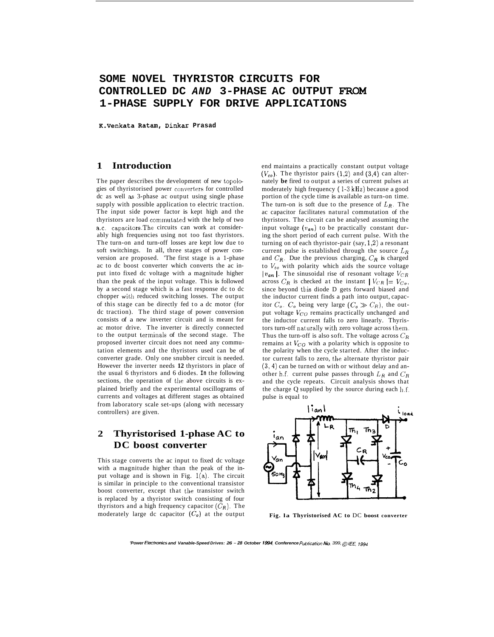# **SOME NOVEL THYRISTOR CIRCUITS FOR CONTROLLED DC** *AND* **3-PHASE AC OUTPUT FROM 1-PHASE SUPPLY FOR DRIVE APPLICATIONS**

**K.Venkata Ratam, Dinkar Prasad** 

#### **1 Introduction**

The paper describes the development of new topologies of thyristorised power converters for controlled dc as well as 3-phase ac output using single phase supply with possible application to electric traction. The input side power factor is kept high and the thyristors are load cominutated with the help of two a.c. capacitors.The circuits can work at considerably high frequencies using not too fast thyristors. The turn-on and turn-off losses are kept low due to soft switchings. In all, three stages of power conversion are proposed. 'The first stage is a 1-phase ac to dc boost converter which converts the ac input into fixed dc voltage with a magnitude higher than the peak of the input voltage. This is followed by a second stage which is a fast response dc to dc chopper with reduced switching losses. The output of this stage can be directly fed to a dc motor (for dc traction). The third stage of power conversion consists of a new inverter circuit and is meant for ac motor drive. The inverter is directly connected to the output terminals of the second stage. The proposed inverter circuit does not need any commutation elements and the thyristors used can be of converter grade. Only one snubber circuit is needed. However the inverter needs **12** thyristors in place of the usual 6 thyristors and 6 diodes. **In** the following sections, the operation of the above circuits is explained briefly and the experimental oscillograms of currents and voltages at different stages as obtained from laboratory scale set-ups (along with necessary controllers) are given.

## **2 Thyristorised 1-phase AC to DC boost converter**

This stage converts the ac input to fixed dc voltage with a magnitude higher than the peak of the input voltage and is shown in Fig. l(a). The circuit is similar in principle to the conventional transistor boost converter, except that the transistor switch is replaced by a thyristor switch consisting of four thyristors and a high frequency capacitor  $(\bar{C}_R)$ . The moderately large dc capacitor  $(C_o)$  at the output end maintains a practically constant output voltage  $(V_{co})$ . The thyristor pairs  $(1,2)$  and  $(3,4)$  can alternately **be** fired to output a series of current pulses at moderately high frequency ( **1-3 kHz)** because a good portion of the cycle time is available as turn-on time. The turn-on is soft due to the presence of  $L_R$ . The ac capacitor facilitates natural commutation of the thyristors. The circuit can be analysed assuming the input voltage  $(v_{an})$  to be practically constant during the short period of each current pulse. With the turning on of each thyristor-pair (say, **l,2)** a resonant current pulse is established through the source *LR*  and  $C_R$ . Due the previous charging,  $C_R$  is charged to  $V_{co}$  with polarity which aids the source voltage  $|v_{an}|$ . The sinusoidal rise of resonant voltage  $V_{CR}$ across  $C_R$  is checked at the instant  $|V_{CR}| = V_{Co}$ , since beyond this diode D gets forward biased and the inductor current finds a path into output, capacitor  $C_o$ .  $C_o$  being very large  $(C_o \gg C_R)$ , the output voltage  $V_{CO}$  remains practically unchanged and the inductor current falls to zero linearly. Thyristors turn-off naturally with zero voltage across them. Thus the turn-off is also soft. The voltage across  $C_R$ remains at  $V_{CO}$  with a polarity which is opposite to the polarity when the cycle started. After the inductor current falls to zero, the alternate thyristor pair **(3,4)** can be turned on with or without delay and another h.f. current pulse passes through *LR* and *CR*  and the cycle repeats. Circuit analysis shows that the charge Q supplied by the source during each  $\ln f$ . pulse is equal to



**Fig. la Thyristorised AC to** DC **boost converter** 

*'Power Electronics and Vanable-Speed Drives: 26 - 28 October 1994, Conference Publication No. 399,*  $\odot$  *IEE, 1994*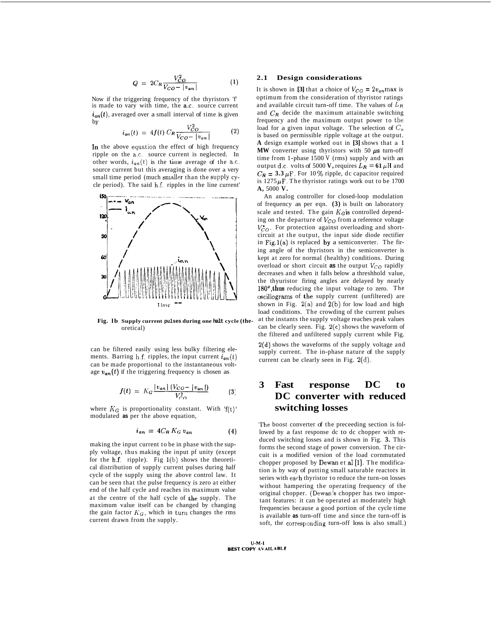$$
Q = 2C_R \frac{V_{CO}^2}{V_{CO} - |v_{an}|}
$$
 (1)

Now if the triggering frequency of the thyristors 'f' is made to vary with time, the a.c. source current  $i_{an}(t)$ , averaged over a small interval of time is given bv

$$
i_{an}(t) = 4f(t) C_R \frac{V_{CO}^2}{V_{CO} - |v_{an}|} \tag{2}
$$

In the above equation the effect of high frequency ripple on the a.c. source current is neglected. In other words,  $i_{an}(t)$  is the lime average of the a.c. source current but this averaging is done over a very small time period (much smaller than the supply cycle period). The said h.f. ripples in the line current'



**Fig. lb Supply current pulses during one halt cycle (the**oretical)

can be filtered easily using less bulky filtering elements. Barring h.f. ripples, the input current  $i_{an}(t)$ can be made proportional to the instantaneous voltage  $v_{an}(t)$  if the triggering frequency is chosen as

$$
f(t) = K_G \frac{|v_{an}| (V_{CO} - |v_{an}|)}{V_{CO}^2}
$$
 (3)

where  $K_G$  is proportionality constant. With  $f(t)$ ' modulated **as** per the above equation,

$$
i_{an} = 4C_R K_G v_{an} \tag{4}
$$

making the input current to be in phase with the supply voltage, thus making the input pf unity (except for the  $h.f.$  ripple). Fig 1(b) shows the theoretical distribution of supply current pulses during half cycle of the supply using the above control law. It can be seen that the pulse frequency is zero at either end of the half cycle and reaches its maximum value at the centre of the half cycle of the supply. The maximum value itself can be changed by changing the gain factor  $K_G$ , which in turn changes the rms current drawn from the supply.

#### **2.1 Design considerations**

It is shown in [3] that a choice of  $V_{CO} = 2v_{an}$  max is optimum from the consideration of thyristor ratings and available circuit turn-off time. The values of *LR*  and *CR* decide the maximum attainable switching frequency and the maximum output power to the load for a given input voltage. The selection of *C,*  is based on permissible ripple voltage at the output. **A** design example worked out in **[3]** shows that a 1 **MW** converter using thyristors with 50  $\mu$ s turn-off time from 1-phase 1500 V (rms) supply and with an output d.c. volts of 5000 **V**, requires  $L_R = 61 \mu$ H and  $C_R = 3.3 \,\mu\text{F}$ . For 10 % ripple, dc capacitor required is  $1275 \mu$ F. The thyristor ratings work out to be 1700 **A,** 5000 **V.** 

An analog controller for closed-loop modulation of frequency as per eqn. **(3)** is built on laboratory scale and tested. The gain  $K_G$  is controlled depending on the departure of *Vco* from a reference voltage  $V_{CO}^*$ . For protection against overloading and shortcircuit at the output, the input side diode rectifier in Fig.1(a) is replaced by a semiconverter. The firing angle of the thyristors in the semiconverter is kept at zero for normal (healthy) conditions. During overload or short circuit as the output  $V_{CO}$  rapidly decreases and when it falls below a threshhold value, the thyuristor firing angles are delayed by nearly 180°,thus reducing the input voltage to zero. The cscillograms of &he supply current (unfiltered) are shown in Fig.  $2(a)$  and  $2(b)$  for low load and high load conditions. The crowding of the current pulses at the instants the supply voltage reaches peak values can be clearly seen. Fig.  $2(c)$  shows the waveform of the filtered and unfiltered supply current while Fig. 2(d) shows the waveforms of the supply voltage and supply current. The in-phase nature of the supply current can be clearly seen in Fig. 2(d).

### **3 Fast response DC to DC converter with reduced switching losses**

'The boost converter of the preceeding section is followed by a fast response dc to dc chopper with reduced switching losses and is shown in Fig. **3.** This forms the second stage of power conversion. The circuit is a modified version of the load cornmutated chopper proposed by Dewan et a1 **[l].** The modification is by way of putting small saturable reactors in series with each thyristor to reduce the turn-on losses without hampering the operating frequency of the original chopper. (Dewan's chopper has two important features: it can be operated at moderately high frequencies because a good portion of the cycle time is available **as** turn-off time and since the turn-off is soft, the corresponding turn-off loss is also small.)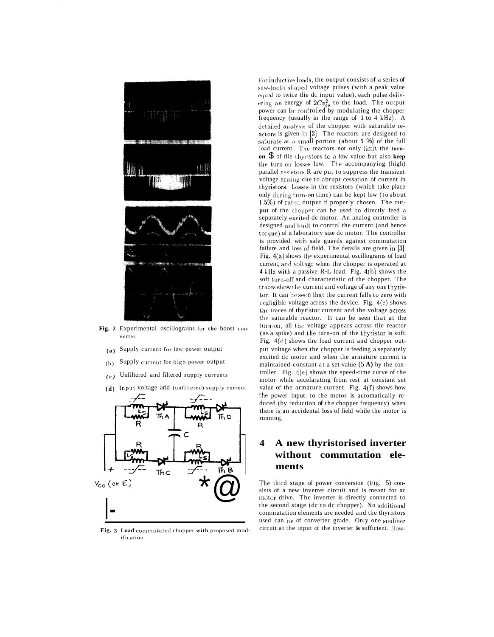

**Fig. 2** Experimental oscillograins for **the** boost converter

- Supply current For low power output **(a)**
- Supply current for high power output (b)
- Unfiltered and filtered supply currents *(c)*
- (d) Input voltage arid (unfiltered) supply current



**Fig. 3 Load cornmutated** chopper **with** proposed modification

For inductive loads, the output consists of a series of saw-tooth shaped voltage pulses (with a peak value **cqual** to twice tlie dc input value), each pulse delivering an energy of  $2Cv_{co}^2$  to the load. The output power can be controlled by modulating the chopper frequency (usually in the range of  $1$  to  $4$  kHz). A detailed analysis of the chopper with saturable reactors is given in [3]. The reactors are designed to saturate at. *a* small portion (about 5 %) of the full load current.. The reactors not only limit the turnon  $\$$  of tlie thyristors to a low value but also keep the turn-on losses low. The accompanying (high) parallel resistors R are put to suppress the transient voltage arising due to abrupt cessation of current in thyristors. Losses in the resistors (which take place only during turn-on time) can be kept low (to about  $1.5\%$ ) of rated output if properly chosen. The out**put** of the cliopper can be used to directly feed a separately excited dc motor. An analog controller is designed and built to control the current (and hence torque) of a laboratory size dc motor. The controller is provided with safe guards against commutation failure and loss of field. The details are given in [3]. Fig.  $4(a)$  shows the experimental oscillograms of load current, and voltage when the chopper is operated at 4 kHz with a passive R-L load. Fig. 4(b) shows the soft turn-off and characteristic of the chopper. The traces show the current and voltage of any one thyristor. It can be seen that the current falls to zero with negligible voltage across the device. Fig.  $4(c)$  shows the traces of thyristor current and the voltage across the saturable reactor. It can be seen that at the turn-on, all the voltage appears across tlie reactor (as a spike) and the turn-on of the thyristor is soft. Fig. 4(d) shows the load current and chopper output voltage when the chopper is feeding a separately excited dc motor and when the armature current is maintained constant at a set value (5 **A)** by the controller. Fig. 4(e) shows the speed-time curve of the motor while accelarating from rest at constant set value of the armature current. Fig.  $4(f)$  shows how the power input, to the motor is automatically reduced (by reduction of the chopper frequency) when there is an accidental loss of field while the motor is running.

## **4 A new thyristorised inverter without commutation elements**

The third stage of power conversion (Fig. 5) consists of a new inverter circuit and is meant for ac motor drive. The inverter is directly connected to the second stage (dc to dc chopper). No additional commutation elements are needed and the thyristors used can be of converter grade. Only one snubber circuit at the input of the inverter **is** sufficient. How-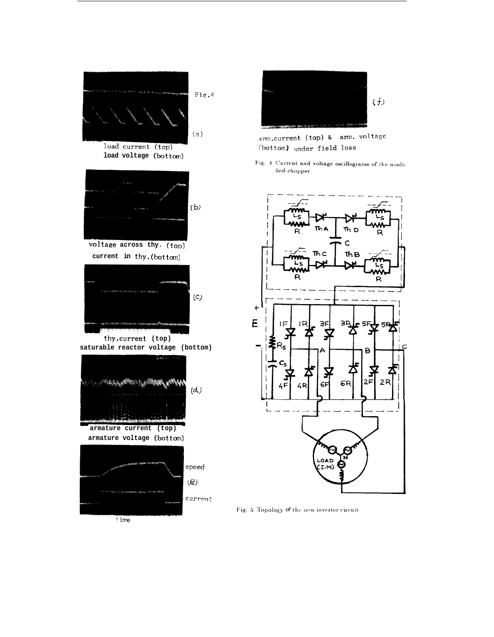



arm.current (top) & arm. voltage (bottom) under field loss

Fig. 4 Current and voltage oscillograms of the modified chopper



Fig. 5 Topology of the new inverter circuit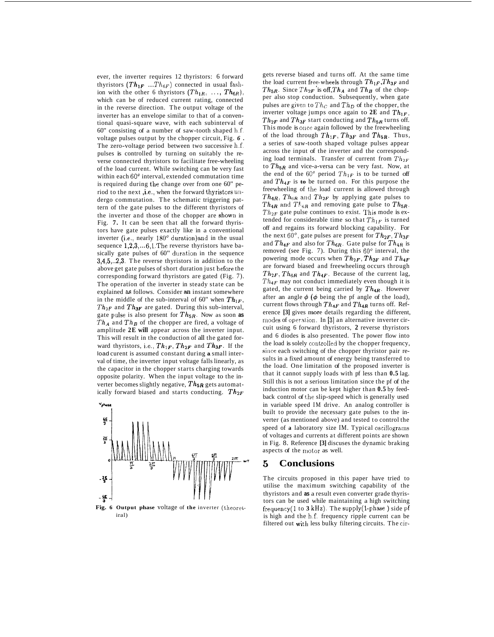ever, the inverter requires 12 thyristors: 6 forward thyristors  $(Th_{1F}$  ....  $Th_{6F}$ ) connected in usual fashion with the other 6 thyristors  $(Th_{1R}, \ldots, Th_{6R}),$ which can be of reduced current rating, connected in the reverse direction. The output voltage of the inverter has an envelope similar to that of a conventional quasi-square wave, with each subinterval of 60" consisting of a number of saw-tooth shaped  $h.f.$ voltage pulses output by the chopper circuit, Fig. *6* . The zero-voltage period between two successive h.f. pulses is controlled by turning on suitably the reverse connected thyristors to facilitate free-wheeling of the load current. While switching can be very fast within each  $60^\circ$  interval, extended commutation time is required during the change over from one 60" period to the next ,i.e., when the forward thyristors undergo commutation. The schematic triggering pattern of the gate pulses to the different thyristors of the inverter and those of the chopper are shown in Fig. **7.** It can be seen that all the forward thyristors have gate pulses exactly like in a conventional inverter (i.e., nearly 180' duration)and in the usual sequence  $1, 2, 3, \ldots, 6, 1$ . The reverse thyristors have basically gate pulses of 60" duration in the sequence **3,4,5,..2,3.** The reverse thyristors in addition to the above get gate pulses of short duration just before the corresponding forward thyristors are gated (Fig. 7). The operation of the inverter in steady state can be explained **as** follows. Consider an instant somewhere in the middle of the sub-interval of 60" when  $Th_{1F}$ , *ThzF* and *Th3F* are gated. During this sub-interval, gate pulse is also present for  $Th_{5R}$ . Now as soon as  $Th_A$  and  $Th_B$  of the chopper are fired, a voltage of amplitude **2E will** appear across the inverter input. This will result in the conduction of all the gated forward thyristors, i.e.,  $Th_{1F}$ ,  $Th_{2F}$  and  $Th_{3F}$ . If the load curent is assumed constant during **a** small interval of time, the inverter input voltage falls linearly, as the capacitor in the chopper starts charging towards opposite polarity. When the input voltage to the inverter becomes slightly negative,  $Th_{5R}$  gets automatically forward biased and starts conducting.  $Th_{2F}$ 



iral)

gets reverse biased and turns off. At the same time the load current free-wheels through  $Th_{1F}$ ,  $Th_{3F}$  and  $Th_{5R}$ . Since  $Th_{2F}$  is off,  $Th_A$  and  $Th_B$  of the chopper also stop conduction. Subsequently, when gate pulses are given to  $Th_C$  and  $Th_D$  of the chopper, the inverter voltage jumps once again to  $2E$  and  $Th_{1F}$ ,  $Th_{2F}$  and  $Th_{3F}$  start conducting and  $Th_{5R}$  turns off. This mode is once again followed by the freewheeling of the load through  $Th_{1F}$ ,  $Th_{3F}$  and  $Th_{5R}$ . Thus, a series of saw-tooth shaped voltage pulses appear across the input of the inverter and the corresponding load terminals. Transfer of current from  $Th_{2F}$ to  $Th_{5R}$  and vice-a-versa can be very fast. Now, at the end of the 60<sup>°</sup> period  $Th_{1F}$  is to be turned off and  $Th_{4F}$  is **to** be turned on. For this purpose the freewheeling of the load current is allowed through  $Th_{4R}$ ,  $Th_{6R}$  and  $Th_{2F}$  by applying gate pulses to  $Th_{4R}$  and  $T_{6R}$  and removing gate pulse to  $Th_{5R}$ .  $Th_{2F}$  gate pulse continues to exist. This mode is extended for considerable time so that  $Th_{1F}$  is turned off and regains its forward blocking capability. For the next  $60^\circ$ , gate pulses are present for  $Th_{2F}$ ,  $Th_{3F}$ and  $Th_{4F}$  and also for  $Th_{6R}$ . Gate pulse for  $Th_{4R}$  is removed (see Fig. 7). During this  $60^\circ$  interval, the powering mode occurs when  $Th_{2F}$ ,  $Th_{3F}$  and  $Th_{4F}$ are forward biased and freewheeling occurs through  $Th_{2F}$ ,  $Th_{6R}$  and  $Th_{4F}$ . Because of the current lag,  $Th_{4F}$  may not conduct immediately even though it is gated, the current being carried by  $Th_{4R}$ . However after an angle  $\phi$  ( $\phi$  being the pf angle of the load), current flows through  $Th_{4F}$  and  $Th_{4R}$  turns off. Reference **[3]** gives more details regarding the different, modes of operation. In [3] an alternative inverter circuit using 6 forward thyristors, **2** reverse thyristors and 6 diodes is also presented. The power flow into the load is solely controlled by the chopper frequency, since each switching of the chopper thyristor pair results in a fixed amount of energy being transferred to the load. One limitation of the proposed inverter is that it cannot supply loads with pf less than **0.5** lag. Still this is not a serious limitation since the pf of the induction motor can be kept higher than **0.5** by feedback control of the slip-speed which is generally used in variable speed IM drive. An analog controller is built to provide the necessary gate pulses to the inverter (as mentioned above) and tested to control the speed of **a** laboratory size IM. Typical oscillograms of voltages and currents at different points are shown in Fig. 8. Reference **[3]** discuses the dynamic braking aspects of the motor as well.

#### *5* **Conclusions**

The circuits proposed in this paper have tried to utilise the maximum switching capability of the thyristors and **as** a result even converter grade thyristors can be used while maintaining a high switching frequency(1 to **3 kHz).** The supply(1-phase ) side **pf**  is high and the h.f. frequency ripple current can be filtered out with less bulky filtering circuits. The cir